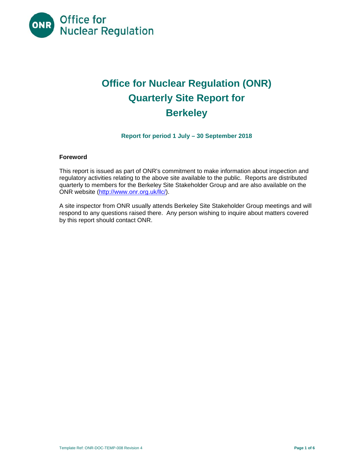

# **Office for Nuclear Regulation (ONR) Quarterly Site Report for Berkeley**

**Report for period 1 July – 30 September 2018** 

# **Foreword**

This report is issued as part of ONR's commitment to make information about inspection and regulatory activities relating to the above site available to the public. Reports are distributed quarterly to members for the Berkeley Site Stakeholder Group and are also available on the ONR website (<http://www.onr.org.uk/llc>/).

A site inspector from ONR usually attends Berkeley Site Stakeholder Group meetings and will respond to any questions raised there. Any person wishing to inquire about matters covered by this report should contact ONR.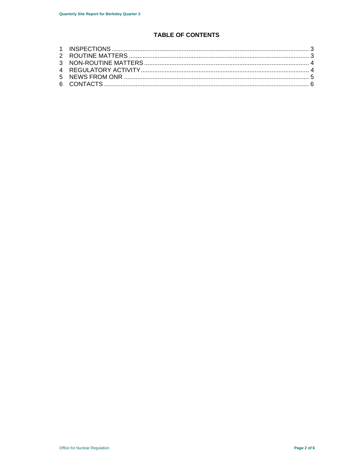# **TABLE OF CONTENTS**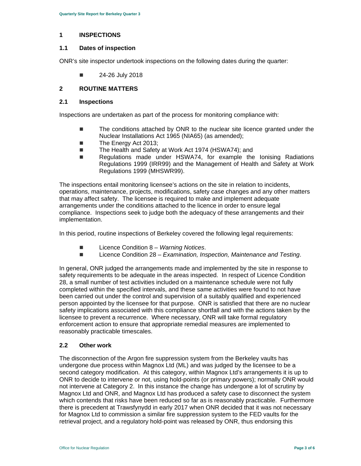#### **1 INSPECTIONS**

#### **1.1 Dates of inspection**

ONR's site inspector undertook inspections on the following dates during the quarter:

 $\blacksquare$  24-26 July 2018

### **2 ROUTINE MATTERS**

#### **2.1 Inspections**

Inspections are undertaken as part of the process for monitoring compliance with:

- The conditions attached by ONR to the nuclear site licence granted under the Nuclear Installations Act 1965 (NIA65) (as amended);
- The Energy Act 2013;
- The Health and Safety at Work Act 1974 (HSWA74); and
- Regulations made under HSWA74, for example the Ionising Radiations Regulations 1999 (IRR99) and the Management of Health and Safety at Work Regulations 1999 (MHSWR99).

The inspections entail monitoring licensee's actions on the site in relation to incidents, operations, maintenance, projects, modifications, safety case changes and any other matters that may affect safety. The licensee is required to make and implement adequate arrangements under the conditions attached to the licence in order to ensure legal compliance. Inspections seek to judge both the adequacy of these arrangements and their implementation.

In this period, routine inspections of Berkeley covered the following legal requirements:

- Licence Condition 8 *Warning Notices*.
- Licence Condition 28 *Examination, Inspection, Maintenance and Testing.*

In general, ONR judged the arrangements made and implemented by the site in response to safety requirements to be adequate in the areas inspected. In respect of Licence Condition 28, a small number of test activities included on a maintenance schedule were not fully completed within the specified intervals, and these same activities were found to not have been carried out under the control and supervision of a suitably qualified and experienced person appointed by the licensee for that purpose. ONR is satisfied that there are no nuclear safety implications associated with this compliance shortfall and with the actions taken by the licensee to prevent a recurrence. Where necessary, ONR will take formal regulatory enforcement action to ensure that appropriate remedial measures are implemented to reasonably practicable timescales.

### **2.2 Other work**

The disconnection of the Argon fire suppression system from the Berkeley vaults has undergone due process within Magnox Ltd (ML) and was judged by the licensee to be a second category modification. At this category, within Magnox Ltd's arrangements it is up to ONR to decide to intervene or not, using hold-points (or primary powers); normally ONR would not intervene at Category 2. In this instance the change has undergone a lot of scrutiny by Magnox Ltd and ONR, and Magnox Ltd has produced a safety case to disconnect the system which contends that risks have been reduced so far as is reasonably practicable. Furthermore there is precedent at Trawsfynydd in early 2017 when ONR decided that it was not necessary for Magnox Ltd to commission a similar fire suppression system to the FED vaults for the retrieval project, and a regulatory hold-point was released by ONR, thus endorsing this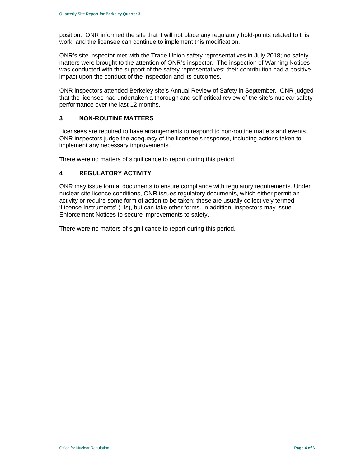position. ONR informed the site that it will not place any regulatory hold-points related to this work, and the licensee can continue to implement this modification.

ONR's site inspector met with the Trade Union safety representatives in July 2018; no safety matters were brought to the attention of ONR's inspector. The inspection of Warning Notices was conducted with the support of the safety representatives; their contribution had a positive impact upon the conduct of the inspection and its outcomes.

ONR inspectors attended Berkeley site's Annual Review of Safety in September. ONR judged that the licensee had undertaken a thorough and self-critical review of the site's nuclear safety performance over the last 12 months.

#### **3 NON-ROUTINE MATTERS**

Licensees are required to have arrangements to respond to non-routine matters and events. ONR inspectors judge the adequacy of the licensee's response, including actions taken to implement any necessary improvements.

There were no matters of significance to report during this period.

### **4 REGULATORY ACTIVITY**

ONR may issue formal documents to ensure compliance with regulatory requirements. Under nuclear site licence conditions, ONR issues regulatory documents, which either permit an activity or require some form of action to be taken; these are usually collectively termed 'Licence Instruments' (LIs), but can take other forms. In addition, inspectors may issue Enforcement Notices to secure improvements to safety.

There were no matters of significance to report during this period.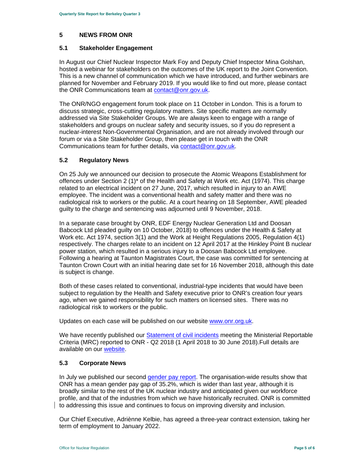#### **5 NEWS FROM ONR**

#### **5.1 Stakeholder Engagement**

In August our Chief Nuclear Inspector Mark Foy and Deputy Chief Inspector Mina Golshan, hosted a webinar for stakeholders on the outcomes of the UK report to the Joint Convention. This is a new channel of communication which we have introduced, and further webinars are planned for November and February 2019. If you would like to find out more, please contact the ONR Communications team at contact@onr.gov.uk.

The ONR/NGO engagement forum took place on 11 October in London. This is a forum to discuss strategic, cross-cutting regulatory matters. Site specific matters are normally addressed via Site Stakeholder Groups. We are always keen to engage with a range of stakeholders and groups on nuclear safety and security issues, so if you do represent a nuclear-interest Non-Governmental Organisation, and are not already involved through our forum or via a Site Stakeholder Group, then please get in touch with the ONR Communications team for further details, via contact@onr.gov.uk.

# **5.2 Regulatory News**

On 25 July we announced our decision to prosecute the Atomic Weapons Establishment for offences under Section 2 (1)\* of the Health and Safety at Work etc. Act (1974). This charge related to an electrical incident on 27 June, 2017, which resulted in injury to an AWE employee. The incident was a conventional health and safety matter and there was no radiological risk to workers or the public. At a court hearing on 18 September, AWE pleaded guilty to the charge and sentencing was adjourned until 9 November, 2018.

In a separate case brought by ONR, EDF Energy Nuclear Generation Ltd and Doosan Babcock Ltd pleaded guilty on 10 October, 2018) to offences under the Health & Safety at Work etc. Act 1974, section 3(1) and the Work at Height Regulations 2005, Regulation 4(1) respectively. The charges relate to an incident on 12 April 2017 at the Hinkley Point B nuclear power station, which resulted in a serious injury to a Doosan Babcock Ltd employee. Following a hearing at Taunton Magistrates Court, the case was committed for sentencing at Taunton Crown Court with an initial hearing date set for 16 November 2018, although this date is subject is change.

Both of these cases related to conventional, industrial-type incidents that would have been subject to regulation by the Health and Safety executive prior to ONR's creation four years ago, when we gained responsibility for such matters on licensed sites. There was no radiological risk to workers or the public.

Updates on each case will be published on our website <www.onr.org.uk>.

We have recently published our Statement of civil incidents meeting the Ministerial Reportable Criteria (MRC) reported to ONR - Q2 2018 (1 April 2018 to 30 June 2018).Full details are available on our website.

# **5.3 Corporate News**

 to addressing this issue and continues to focus on improving diversity and inclusion. In July we published our second gender pay report. The organisation-wide results show that ONR has a mean gender pay gap of 35.2%, which is wider than last year, although it is broadly similar to the rest of the UK nuclear industry and anticipated given our workforce profile, and that of the industries from which we have historically recruited. ONR is committed

Our Chief Executive, Adriènne Kelbie, has agreed a three-year contract extension, taking her term of employment to January 2022.